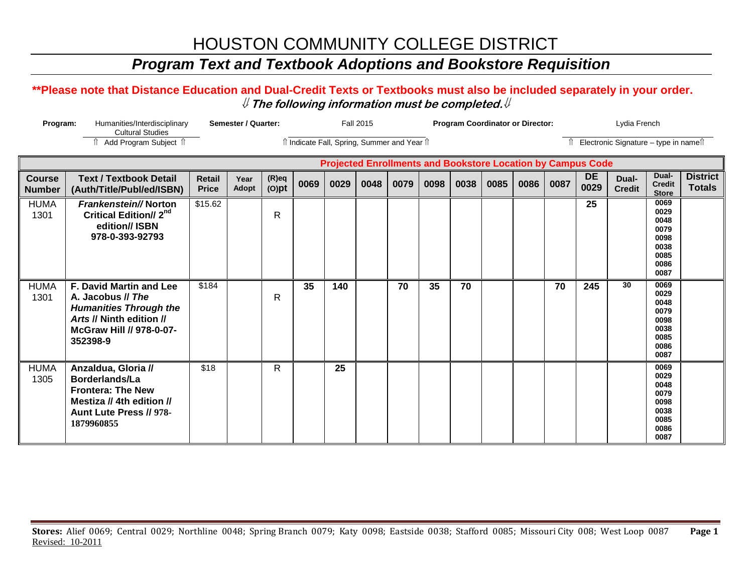### *Program Text and Textbook Adoptions and Bookstore Requisition*

#### **\*\*Please note that Distance Education and Dual-Credit Texts or Textbooks must also be included separately in your order.**  ⇓ **The following information must be completed.**⇓

| Program:<br>Humanities/Interdisciplinary<br><b>Cultural Studies</b> |                                                                                                                                                          |                               | Semester / Quarter: |                      | <b>Fall 2015</b> |                                              |      |      |      | <b>Program Coordinator or Director:</b> |      |      |      |                                                                    | Lydia French                             |                                                                      |                                  |  |
|---------------------------------------------------------------------|----------------------------------------------------------------------------------------------------------------------------------------------------------|-------------------------------|---------------------|----------------------|------------------|----------------------------------------------|------|------|------|-----------------------------------------|------|------|------|--------------------------------------------------------------------|------------------------------------------|----------------------------------------------------------------------|----------------------------------|--|
|                                                                     | Add Program Subject 1                                                                                                                                    |                               |                     |                      |                  | îl Indicate Fall, Spring, Summer and Year îl |      |      |      |                                         |      |      |      |                                                                    | Îl Electronic Signature - type in nameîl |                                                                      |                                  |  |
|                                                                     |                                                                                                                                                          |                               |                     |                      |                  |                                              |      |      |      |                                         |      |      |      | <b>Projected Enrollments and Bookstore Location by Campus Code</b> |                                          |                                                                      |                                  |  |
| <b>Course</b><br><b>Number</b>                                      | <b>Text / Textbook Detail</b><br>(Auth/Title/Publ/ed/ISBN)                                                                                               | <b>Retail</b><br><b>Price</b> | Year<br>Adopt       | $(R)$ eq<br>$(O)$ pt | 0069             | 0029                                         | 0048 | 0079 | 0098 | 0038                                    | 0085 | 0086 | 0087 | <b>DE</b><br>0029                                                  | Dual-<br><b>Credit</b>                   | Dual-<br><b>Credit</b><br><b>Store</b>                               | <b>District</b><br><b>Totals</b> |  |
| <b>HUMA</b><br>1301                                                 | Frankenstein//Norton<br><b>Critical Edition// 2<sup>nd</sup></b><br>edition// ISBN<br>978-0-393-92793                                                    | \$15.62                       |                     | $\mathsf{R}$         |                  |                                              |      |      |      |                                         |      |      |      | 25                                                                 |                                          | 0069<br>0029<br>0048<br>0079<br>0098<br>0038<br>0085<br>0086<br>0087 |                                  |  |
| <b>HUMA</b><br>1301                                                 | <b>F. David Martin and Lee</b><br>A. Jacobus // The<br><b>Humanities Through the</b><br>Arts // Ninth edition //<br>McGraw Hill // 978-0-07-<br>352398-9 | \$184                         |                     | R                    | 35               | 140                                          |      | 70   | 35   | 70                                      |      |      | 70   | 245                                                                | 30                                       | 0069<br>0029<br>0048<br>0079<br>0098<br>0038<br>0085<br>0086<br>0087 |                                  |  |
| <b>HUMA</b><br>1305                                                 | Anzaldua, Gloria //<br>Borderlands/La<br><b>Frontera: The New</b><br>Mestiza // 4th edition //<br>Aunt Lute Press // 978-<br>1879960855                  | \$18                          |                     | R                    |                  | 25                                           |      |      |      |                                         |      |      |      |                                                                    |                                          | 0069<br>0029<br>0048<br>0079<br>0098<br>0038<br>0085<br>0086<br>0087 |                                  |  |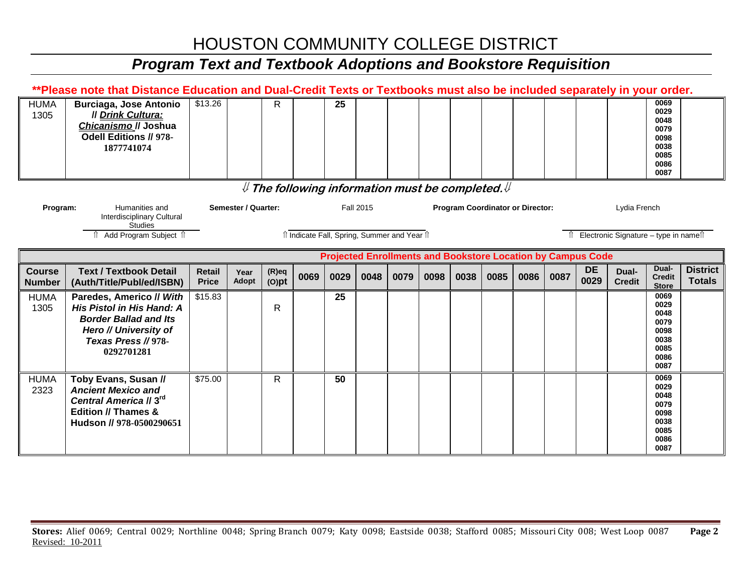# *Program Text and Textbook Adoptions and Bookstore Requisition*

|                                                                          | **Please note that Distance Education and Dual-Credit Texts or Textbooks must also be included separately in your order.                            |                               |                     |                      |      |      |                  |                                              |      |      |      |                                                                    |      |                   |                                       |                                                                      |                                  |
|--------------------------------------------------------------------------|-----------------------------------------------------------------------------------------------------------------------------------------------------|-------------------------------|---------------------|----------------------|------|------|------------------|----------------------------------------------|------|------|------|--------------------------------------------------------------------|------|-------------------|---------------------------------------|----------------------------------------------------------------------|----------------------------------|
| <b>HUMA</b><br>1305                                                      | <b>Burciaga, Jose Antonio</b><br><b>Il Drink Cultura:</b><br>Chicanismo // Joshua<br>Odell Editions // 978-<br>1877741074                           | \$13.26                       |                     | $\mathsf{R}$         |      | 25   |                  |                                              |      |      |      |                                                                    |      |                   |                                       | 0069<br>0029<br>0048<br>0079<br>0098<br>0038<br>0085<br>0086<br>0087 |                                  |
| ${\mathbb U}$ The following information must be completed. ${\mathbb U}$ |                                                                                                                                                     |                               |                     |                      |      |      |                  |                                              |      |      |      |                                                                    |      |                   |                                       |                                                                      |                                  |
| Program:                                                                 | Humanities and<br>Interdisciplinary Cultural<br><b>Studies</b>                                                                                      |                               | Semester / Quarter: |                      |      |      | <b>Fall 2015</b> |                                              |      |      |      | <b>Program Coordinator or Director:</b>                            |      |                   | Lydia French                          |                                                                      |                                  |
|                                                                          | Add Program Subject 1                                                                                                                               |                               |                     |                      |      |      |                  | îl Indicate Fall, Spring, Summer and Year îl |      |      |      |                                                                    |      |                   | Electronic Signature - type in namest |                                                                      |                                  |
|                                                                          |                                                                                                                                                     |                               |                     |                      |      |      |                  |                                              |      |      |      | <b>Projected Enrollments and Bookstore Location by Campus Code</b> |      |                   |                                       |                                                                      |                                  |
| <b>Course</b><br><b>Number</b>                                           | <b>Text / Textbook Detail</b><br>(Auth/Title/Publ/ed/ISBN)                                                                                          | <b>Retail</b><br><b>Price</b> | Year<br>Adopt       | $(R)$ eq<br>$(O)$ pt | 0069 | 0029 | 0048             | 0079                                         | 0098 | 0038 | 0085 | 0086                                                               | 0087 | <b>DE</b><br>0029 | Dual-<br><b>Credit</b>                | Dual-<br><b>Credit</b><br><b>Store</b>                               | <b>District</b><br><b>Totals</b> |
| <b>HUMA</b><br>1305                                                      | Paredes, Americo // With<br>His Pistol in His Hand: A<br><b>Border Ballad and Its</b><br>Hero // University of<br>Texas Press // 978-<br>0292701281 | \$15.83                       |                     | $\mathsf{R}$         |      | 25   |                  |                                              |      |      |      |                                                                    |      |                   |                                       | 0069<br>0029<br>0048<br>0079<br>0098<br>0038<br>0085<br>0086<br>0087 |                                  |
| <b>HUMA</b><br>2323                                                      | Toby Evans, Susan //<br><b>Ancient Mexico and</b><br>Central America // 3rd<br>Edition // Thames &<br>Hudson // 978-0500290651                      | \$75.00                       |                     | $\mathsf{R}$         |      | 50   |                  |                                              |      |      |      |                                                                    |      |                   |                                       | 0069<br>0029<br>0048<br>0079<br>0098<br>0038<br>0085                 |                                  |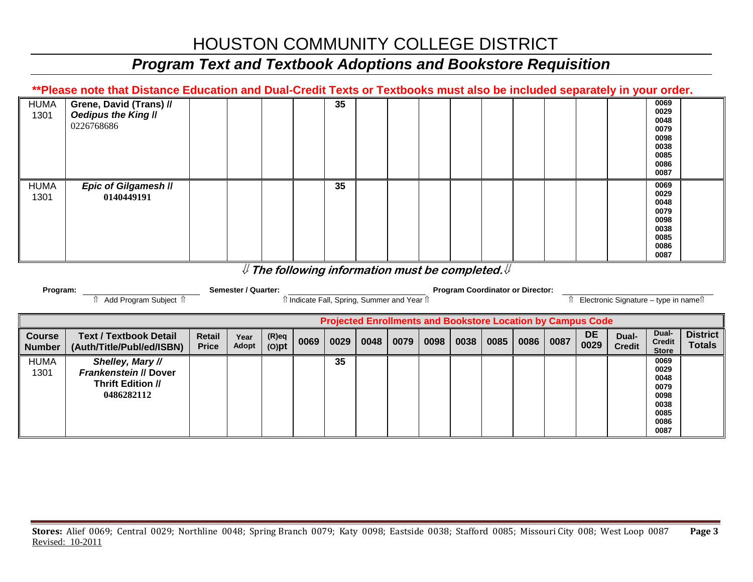### *Program Text and Textbook Adoptions and Bookstore Requisition*

#### **\*\*Please note that Distance Education and Dual-Credit Texts or Textbooks must also be included separately in your order.**

| <b>HUMA</b><br>1301 | Grene, David (Trans) //<br>Oedipus the King II<br>0226768686 |  |  | 35 |  |  |  |  | 0069<br>0029<br>0048<br>0079<br>0098<br>0038<br>0085<br>0086<br>0087 |
|---------------------|--------------------------------------------------------------|--|--|----|--|--|--|--|----------------------------------------------------------------------|
| <b>HUMA</b><br>1301 | Epic of Gilgamesh II<br>0140449191                           |  |  | 35 |  |  |  |  | 0069<br>0029<br>0048<br>0079<br>0098<br>0038<br>0085<br>0086<br>0087 |

#### ⇓ **The following information must be completed.**⇓

|                                | Semester / Quarter:<br>Program:                                                     |                               |               |                      |      | <b>Program Coordinator or Director:</b> |      |                                            |      |      |      |      |      |                   |                                       |                                                                      |                                  |
|--------------------------------|-------------------------------------------------------------------------------------|-------------------------------|---------------|----------------------|------|-----------------------------------------|------|--------------------------------------------|------|------|------|------|------|-------------------|---------------------------------------|----------------------------------------------------------------------|----------------------------------|
|                                | Add Program Subject 1                                                               |                               |               |                      |      |                                         |      | î Indicate Fall, Spring, Summer and Year î |      |      |      |      |      |                   | Electronic Signature - type in namell |                                                                      |                                  |
|                                | <b>Projected Enrollments and Bookstore Location by Campus Code</b>                  |                               |               |                      |      |                                         |      |                                            |      |      |      |      |      |                   |                                       |                                                                      |                                  |
| <b>Course</b><br><b>Number</b> | <b>Text / Textbook Detail</b><br>(Auth/Title/Publ/ed/ISBN)                          | <b>Retail</b><br><b>Price</b> | Year<br>Adopt | $(R)$ eq<br>$(O)$ pt | 0069 | 0029                                    | 0048 | 0079                                       | 0098 | 0038 | 0085 | 0086 | 0087 | <b>DE</b><br>0029 | Dual-<br><b>Credit</b>                | Dual-<br><b>Credit</b><br><b>Store</b>                               | <b>District</b><br><b>Totals</b> |
| <b>HUMA</b><br>1301            | Shelley, Mary //<br>Frankenstein // Dover<br><b>Thrift Edition //</b><br>0486282112 |                               |               |                      |      | 35                                      |      |                                            |      |      |      |      |      |                   |                                       | 0069<br>0029<br>0048<br>0079<br>0098<br>0038<br>0085<br>0086<br>0087 |                                  |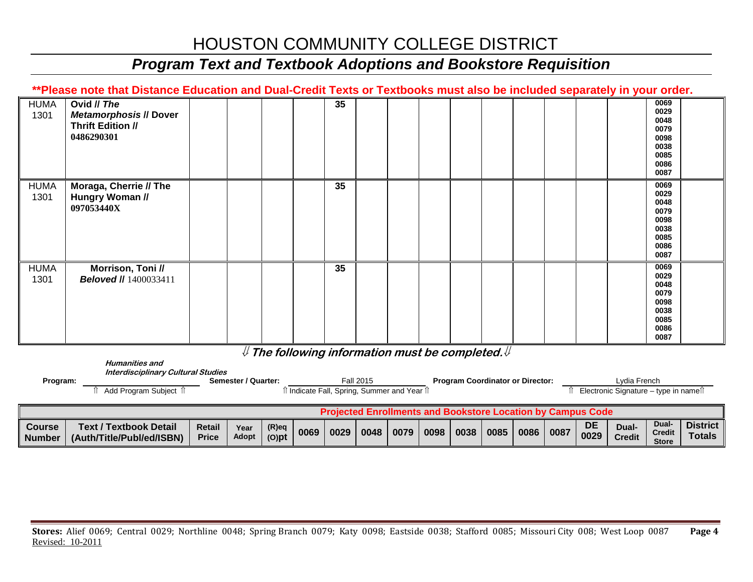### *Program Text and Textbook Adoptions and Bookstore Requisition*

#### **\*\*Please note that Distance Education and Dual-Credit Texts or Textbooks must also be included separately in your order.**

| <b>HUMA</b><br>1301 | Ovid // The<br><b>Metamorphosis // Dover</b><br><b>Thrift Edition //</b><br>0486290301 |  |  | 35              |  |  |  |  | 0069<br>0029<br>0048<br>0079<br>0098<br>0038<br>0085<br>0086<br>0087 |  |
|---------------------|----------------------------------------------------------------------------------------|--|--|-----------------|--|--|--|--|----------------------------------------------------------------------|--|
| <b>HUMA</b><br>1301 | Moraga, Cherrie // The<br>Hungry Woman //<br>097053440X                                |  |  | 35              |  |  |  |  | 0069<br>0029<br>0048<br>0079<br>0098<br>0038<br>0085<br>0086<br>0087 |  |
| <b>HUMA</b><br>1301 | Morrison, Toni //<br><b>Beloved //</b> 1400033411                                      |  |  | 35 <sub>5</sub> |  |  |  |  | 0069<br>0029<br>0048<br>0079<br>0098<br>0038<br>0085<br>0086<br>0087 |  |

⇓ **The following information must be completed.**⇓

| Program:                       | <b>Humanities and</b><br><b>Interdisciplinary Cultural Studies</b><br>Add Program Subject 1 |                               | Semester / Quarter: |                      | ी Indicate Fall, Spring, Summer and Year 1ी |      | <b>Fall 2015</b> |      |      |      |      | <b>Program Coordinator or Director:</b> |      |                                                                    | Lvdia French<br>Electronic Signature – type in name $\hat{I}$ |                                        |                                  |
|--------------------------------|---------------------------------------------------------------------------------------------|-------------------------------|---------------------|----------------------|---------------------------------------------|------|------------------|------|------|------|------|-----------------------------------------|------|--------------------------------------------------------------------|---------------------------------------------------------------|----------------------------------------|----------------------------------|
|                                |                                                                                             |                               |                     |                      |                                             |      |                  |      |      |      |      |                                         |      | <b>Projected Enrollments and Bookstore Location by Campus Code</b> |                                                               |                                        |                                  |
| <b>Course</b><br><b>Number</b> | <b>Text / Textbook Detail</b><br>(Auth/Title/Publ/ed/ISBN)                                  | <b>Retail</b><br><b>Price</b> | Year<br>Adopt       | $(R)$ eq<br>$(O)$ pt | 0069                                        | 0029 | 0048             | 0079 | 0098 | 0038 | 0085 | 0086                                    | 0087 | <b>DE</b><br>0029                                                  | Dual-<br><b>Credit</b>                                        | Dual-<br><b>Credit</b><br><b>Store</b> | <b>District</b><br><b>Totals</b> |

**Store**